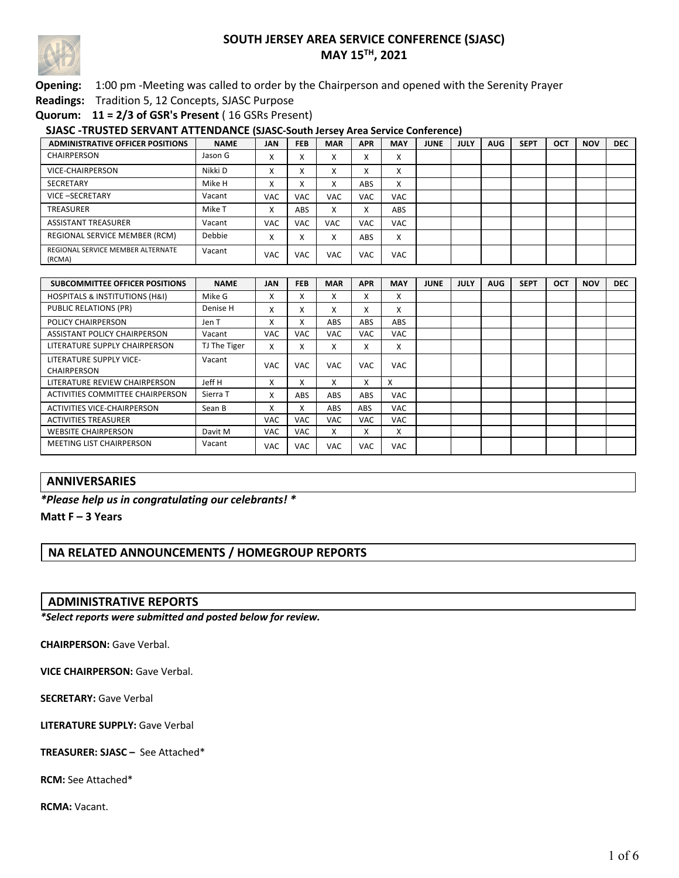

### **Opening:** 1:00 pm -Meeting was called to order by the Chairperson and opened with the Serenity Prayer

**Readings:** Tradition 5, 12 Concepts, SJASC Purpose

**Quorum: 11 = 2/3 of GSR's Present** ( 16 GSRs Present)

### **SJASC -TRUSTED SERVANT ATTENDANCE (SJASC-South Jersey Area Service Conference)**

| <b>ADMINISTRATIVE OFFICER POSITIONS</b>     | <b>NAME</b> | <b>JAN</b>        | <b>FEB</b> | <b>MAR</b> | <b>APR</b> | <b>MAY</b>             | <b>JUNE</b> | JULY | <b>AUG</b> | <b>SEPT</b> | <b>OCT</b> | <b>NOV</b> | <b>DEC</b> |
|---------------------------------------------|-------------|-------------------|------------|------------|------------|------------------------|-------------|------|------------|-------------|------------|------------|------------|
| <b>CHAIRPERSON</b>                          | Jason G     | v<br>^            |            |            | $\lambda$  | x                      |             |      |            |             |            |            |            |
| VICE-CHAIRPERSON                            | Nikki D     | $\checkmark$<br>∧ |            |            | $\lambda$  | $\checkmark$<br>∧      |             |      |            |             |            |            |            |
| SECRETARY                                   | Mike H      | $\checkmark$<br>∧ |            |            | ABS        | $\checkmark$<br>$\sim$ |             |      |            |             |            |            |            |
| VICE-SECRETARY                              | Vacant      | <b>VAC</b>        | <b>VAC</b> | <b>VAC</b> | <b>VAC</b> | <b>VAC</b>             |             |      |            |             |            |            |            |
| <b>TREASURER</b>                            | Mike T      | v<br>́            | ABS        |            |            | ABS                    |             |      |            |             |            |            |            |
| <b>ASSISTANT TREASURER</b>                  | Vacant      | <b>VAC</b>        | <b>VAC</b> | <b>VAC</b> | <b>VAC</b> | <b>VAC</b>             |             |      |            |             |            |            |            |
| REGIONAL SERVICE MEMBER (RCM)               | Debbie      | $\checkmark$<br>∧ |            |            | ABS        | x                      |             |      |            |             |            |            |            |
| REGIONAL SERVICE MEMBER ALTERNATE<br>(RCMA) | Vacant      | <b>VAC</b>        | <b>VAC</b> | VAC        | <b>VAC</b> | VAC                    |             |      |            |             |            |            |            |

| <b>SUBCOMMITTEE OFFICER POSITIONS</b>         | <b>NAME</b>  | <b>JAN</b> | <b>FEB</b> | <b>MAR</b> | <b>APR</b>               | <b>MAY</b> | <b>JUNE</b> | <b>JULY</b> | <b>AUG</b> | <b>SEPT</b> | <b>OCT</b> | <b>NOV</b> | <b>DEC</b> |
|-----------------------------------------------|--------------|------------|------------|------------|--------------------------|------------|-------------|-------------|------------|-------------|------------|------------|------------|
| <b>HOSPITALS &amp; INSTITUTIONS (H&amp;I)</b> | Mike G       | x          | x          | ж          | $\lambda$                | x          |             |             |            |             |            |            |            |
| <b>PUBLIC RELATIONS (PR)</b>                  | Denise H     | x          | x          | x          | $\checkmark$<br>х.       | x          |             |             |            |             |            |            |            |
| <b>POLICY CHAIRPERSON</b>                     | Jen T        | x          | x          | <b>ABS</b> | ABS                      | ABS        |             |             |            |             |            |            |            |
| ASSISTANT POLICY CHAIRPERSON                  | Vacant       | <b>VAC</b> | <b>VAC</b> | VAC        | <b>VAC</b>               | <b>VAC</b> |             |             |            |             |            |            |            |
| LITERATURE SUPPLY CHAIRPERSON                 | TJ The Tiger | x          | x          | X          | $\mathbf v$<br>$\lambda$ | X          |             |             |            |             |            |            |            |
| LITERATURE SUPPLY VICE-<br>CHAIRPERSON        | Vacant       | <b>VAC</b> | VAC        | VAC        | <b>VAC</b>               | <b>VAC</b> |             |             |            |             |            |            |            |
| LITERATURE REVIEW CHAIRPERSON                 | Jeff H       | x          | x          | x          | x                        | X          |             |             |            |             |            |            |            |
| ACTIVITIES COMMITTEE CHAIRPERSON              | Sierra T     | x          | <b>ABS</b> | ABS        | ABS                      | <b>VAC</b> |             |             |            |             |            |            |            |
| <b>ACTIVITIES VICE-CHAIRPERSON</b>            | Sean B       | x          | x          | <b>ABS</b> | <b>ABS</b>               | <b>VAC</b> |             |             |            |             |            |            |            |
| <b>ACTIVITIES TREASURER</b>                   |              | <b>VAC</b> | <b>VAC</b> | <b>VAC</b> | <b>VAC</b>               | <b>VAC</b> |             |             |            |             |            |            |            |
| <b>WEBSITE CHAIRPERSON</b>                    | Davit M      | <b>VAC</b> | <b>VAC</b> | X          | X                        | x          |             |             |            |             |            |            |            |
| <b>MEETING LIST CHAIRPERSON</b>               | Vacant       | <b>VAC</b> | <b>VAC</b> | <b>VAC</b> | <b>VAC</b>               | <b>VAC</b> |             |             |            |             |            |            |            |

### **ANNIVERSARIES**

### *\*Please help us in congratulating our celebrants! \**

**Matt F – 3 Years**

### **NA RELATED ANNOUNCEMENTS / HOMEGROUP REPORTS**

#### **ADMINISTRATIVE REPORTS**

*\*Select reports were submitted and posted below for review.*

**CHAIRPERSON:** Gave Verbal.

**VICE CHAIRPERSON:** Gave Verbal.

**SECRETARY:** Gave Verbal

**LITERATURE SUPPLY:** Gave Verbal

#### **TREASURER: SJASC –** See Attached\*

**RCM:** See Attached\*

**RCMA:** Vacant.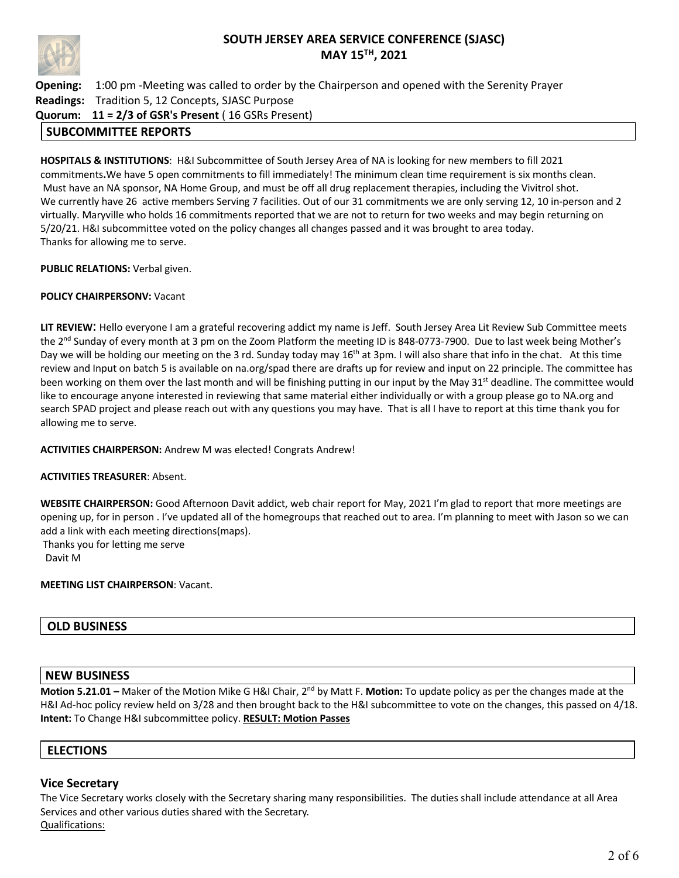

**Opening:** 1:00 pm -Meeting was called to order by the Chairperson and opened with the Serenity Prayer **Readings:** Tradition 5, 12 Concepts, SJASC Purpose **Quorum: 11 = 2/3 of GSR's Present** ( 16 GSRs Present)

### **SUBCOMMITTEE REPORTS**

**HOSPITALS & INSTITUTIONS**: H&I Subcommittee of South Jersey Area of NA is looking for new members to fill 2021 commitments**.**We have 5 open commitments to fill immediately! The minimum clean time requirement is six months clean. Must have an NA sponsor, NA Home Group, and must be off all drug replacement therapies, including the Vivitrol shot. We currently have 26 active members Serving 7 facilities. Out of our 31 commitments we are only serving 12, 10 in-person and 2 virtually. Maryville who holds 16 commitments reported that we are not to return for two weeks and may begin returning on 5/20/21. H&I subcommittee voted on the policy changes all changes passed and it was brought to area today. Thanks for allowing me to serve.

**PUBLIC RELATIONS:** Verbal given.

#### **POLICY CHAIRPERSONV:** Vacant

**LIT REVIEW**: Hello everyone I am a grateful recovering addict my name is Jeff. South Jersey Area Lit Review Sub Committee meets the 2<sup>nd</sup> Sunday of every month at 3 pm on the Zoom Platform the meeting ID is 848-0773-7900. Due to last week being Mother's Day we will be holding our meeting on the 3 rd. Sunday today may 16<sup>th</sup> at 3pm. I will also share that info in the chat. At this time review and Input on batch 5 is available on na.org/spad there are drafts up for review and input on 22 principle. The committee has been working on them over the last month and will be finishing putting in our input by the May 31<sup>st</sup> deadline. The committee would like to encourage anyone interested in reviewing that same material either individually or with a group please go to NA.org and search SPAD project and please reach out with any questions you may have. That is all I have to report at this time thank you for allowing me to serve.

#### **ACTIVITIES CHAIRPERSON:** Andrew M was elected! Congrats Andrew!

#### **ACTIVITIES TREASURER**: Absent.

**WEBSITE CHAIRPERSON:** Good Afternoon Davit addict, web chair report for May, 2021 I'm glad to report that more meetings are opening up, for in person . I've updated all of the homegroups that reached out to area. I'm planning to meet with Jason so we can add a link with each meeting directions(maps).

Thanks you for letting me serve

Davit M

### **MEETING LIST CHAIRPERSON**: Vacant.

### **OLD BUSINESS**

### **NEW BUSINESS**

**Motion 5.21.01 –** Maker of the Motion Mike G H&I Chair, 2nd by Matt F. **Motion:** To update policy as per the changes made at the H&I Ad-hoc policy review held on 3/28 and then brought back to the H&I subcommittee to vote on the changes, this passed on 4/18. **Intent:** To Change H&I subcommittee policy. **RESULT: Motion Passes**

### **ELECTIONS**

### **Vice Secretary**

The Vice Secretary works closely with the Secretary sharing many responsibilities. The duties shall include attendance at all Area Services and other various duties shared with the Secretary. Qualifications: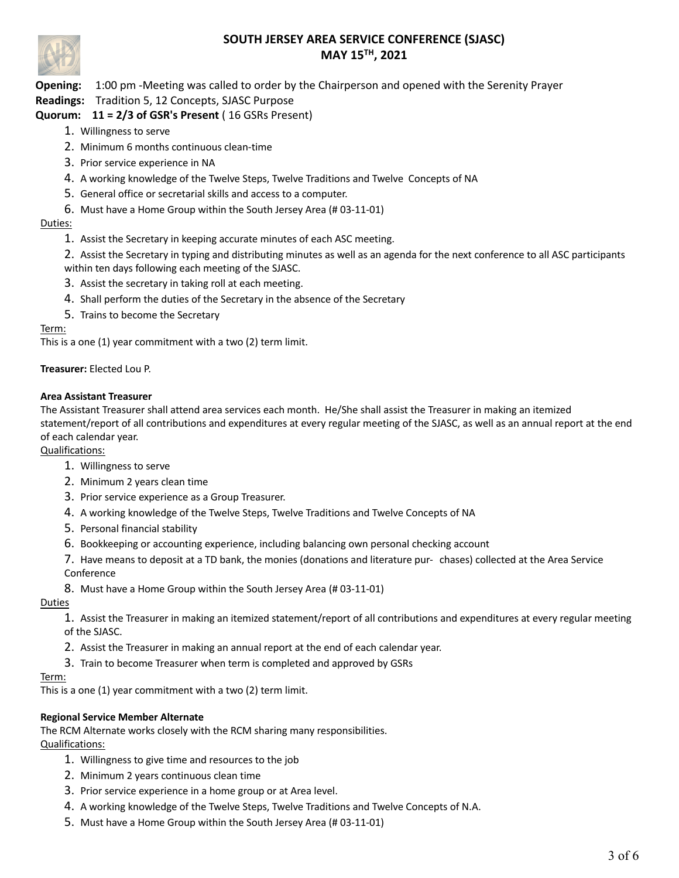

**Opening:** 1:00 pm -Meeting was called to order by the Chairperson and opened with the Serenity Prayer

### **Readings:** Tradition 5, 12 Concepts, SJASC Purpose

# **Quorum: 11 = 2/3 of GSR's Present** ( 16 GSRs Present)

- 1. Willingness to serve
- 2. Minimum 6 months continuous clean-time
- 3. Prior service experience in NA
- 4. A working knowledge of the Twelve Steps, Twelve Traditions and Twelve Concepts of NA
- 5. General office or secretarial skills and access to a computer.
- 6. Must have a Home Group within the South Jersey Area (# 03-11-01)

### Duties:

1. Assist the Secretary in keeping accurate minutes of each ASC meeting.

2. Assist the Secretary in typing and distributing minutes as well as an agenda for the next conference to all ASC participants within ten days following each meeting of the SJASC.

- 3. Assist the secretary in taking roll at each meeting.
- 4. Shall perform the duties of the Secretary in the absence of the Secretary
- 5. Trains to become the Secretary

### Term:

This is a one (1) year commitment with a two (2) term limit.

#### **Treasurer:** Elected Lou P.

#### **Area Assistant Treasurer**

The Assistant Treasurer shall attend area services each month. He/She shall assist the Treasurer in making an itemized statement/report of all contributions and expenditures at every regular meeting of the SJASC, as well as an annual report at the end of each calendar year.

Qualifications:

- 1. Willingness to serve
- 2. Minimum 2 years clean time
- 3. Prior service experience as a Group Treasurer.
- 4. A working knowledge of the Twelve Steps, Twelve Traditions and Twelve Concepts of NA
- 5. Personal financial stability
- 6. Bookkeeping or accounting experience, including balancing own personal checking account
- 7. Have means to deposit at a TD bank, the monies (donations and literature pur- chases) collected at the Area Service Conference
- 8. Must have a Home Group within the South Jersey Area (# 03-11-01)

### Duties

1. Assist the Treasurer in making an itemized statement/report of all contributions and expenditures at every regular meeting of the SJASC.

- 2. Assist the Treasurer in making an annual report at the end of each calendar year.
- 3. Train to become Treasurer when term is completed and approved by GSRs

#### Term:

This is a one (1) year commitment with a two (2) term limit.

### **Regional Service Member Alternate**

The RCM Alternate works closely with the RCM sharing many responsibilities.

### Qualifications:

- 1. Willingness to give time and resources to the job
- 2. Minimum 2 years continuous clean time
- 3. Prior service experience in a home group or at Area level.
- 4. A working knowledge of the Twelve Steps, Twelve Traditions and Twelve Concepts of N.A.
- 5. Must have a Home Group within the South Jersey Area (# 03-11-01)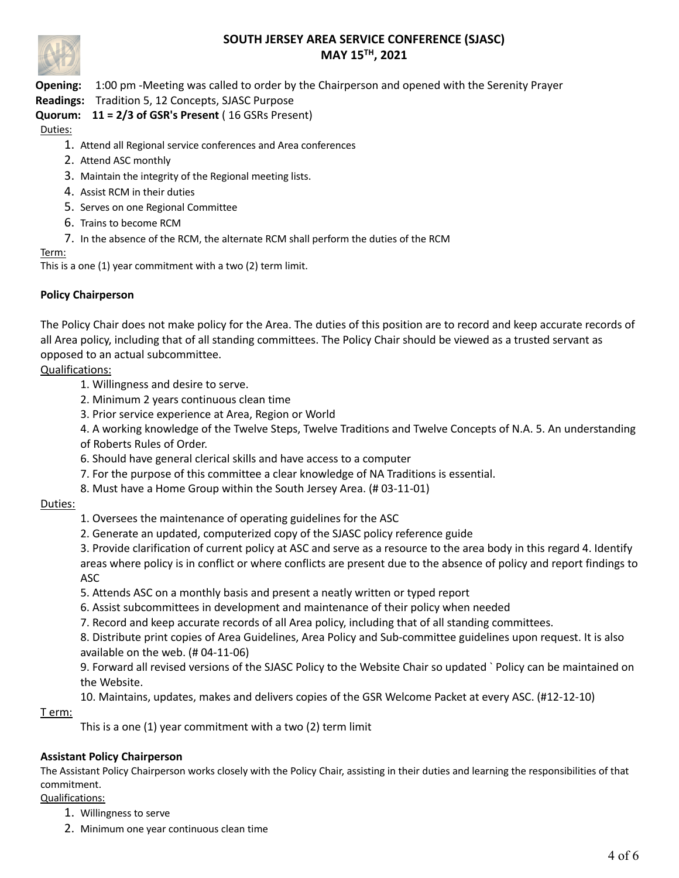

**Opening:** 1:00 pm -Meeting was called to order by the Chairperson and opened with the Serenity Prayer

**Readings:** Tradition 5, 12 Concepts, SJASC Purpose

# **Quorum: 11 = 2/3 of GSR's Present** ( 16 GSRs Present)

Duties:

- 1. Attend all Regional service conferences and Area conferences
- 2. Attend ASC monthly
- 3. Maintain the integrity of the Regional meeting lists.
- 4. Assist RCM in their duties
- 5. Serves on one Regional Committee
- 6. Trains to become RCM
- 7. In the absence of the RCM, the alternate RCM shall perform the duties of the RCM

### Term:

This is a one (1) year commitment with a two (2) term limit.

### **Policy Chairperson**

The Policy Chair does not make policy for the Area. The duties of this position are to record and keep accurate records of all Area policy, including that of all standing committees. The Policy Chair should be viewed as a trusted servant as opposed to an actual subcommittee.

### Qualifications:

- 1. Willingness and desire to serve.
- 2. Minimum 2 years continuous clean time
- 3. Prior service experience at Area, Region or World

4. A working knowledge of the Twelve Steps, Twelve Traditions and Twelve Concepts of N.A. 5. An understanding of Roberts Rules of Order.

- 6. Should have general clerical skills and have access to a computer
- 7. For the purpose of this committee a clear knowledge of NA Traditions is essential.
- 8. Must have a Home Group within the South Jersey Area. (# 03-11-01)

### Duties:

- 1. Oversees the maintenance of operating guidelines for the ASC
- 2. Generate an updated, computerized copy of the SJASC policy reference guide
- 3. Provide clarification of current policy at ASC and serve as a resource to the area body in this regard 4. Identify areas where policy is in conflict or where conflicts are present due to the absence of policy and report findings to ASC
- 5. Attends ASC on a monthly basis and present a neatly written or typed report
- 6. Assist subcommittees in development and maintenance of their policy when needed
- 7. Record and keep accurate records of all Area policy, including that of all standing committees.

8. Distribute print copies of Area Guidelines, Area Policy and Sub-committee guidelines upon request. It is also available on the web. (# 04-11-06)

9. Forward all revised versions of the SJASC Policy to the Website Chair so updated ` Policy can be maintained on the Website.

10. Maintains, updates, makes and delivers copies of the GSR Welcome Packet at every ASC. (#12-12-10)

### T erm:

This is a one (1) year commitment with a two (2) term limit

### **Assistant Policy Chairperson**

The Assistant Policy Chairperson works closely with the Policy Chair, assisting in their duties and learning the responsibilities of that commitment.

# Qualifications:

- 1. Willingness to serve
- 2. Minimum one year continuous clean time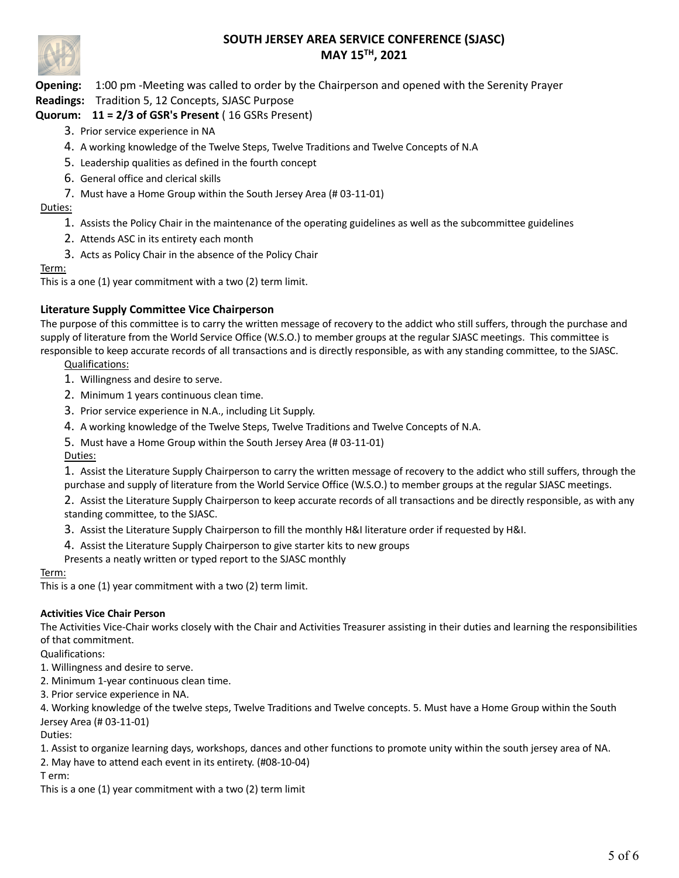

**Opening:** 1:00 pm -Meeting was called to order by the Chairperson and opened with the Serenity Prayer

**Readings:** Tradition 5, 12 Concepts, SJASC Purpose

# **Quorum: 11 = 2/3 of GSR's Present** ( 16 GSRs Present)

- 3. Prior service experience in NA
- 4. A working knowledge of the Twelve Steps, Twelve Traditions and Twelve Concepts of N.A
- 5. Leadership qualities as defined in the fourth concept
- 6. General office and clerical skills
- 7. Must have a Home Group within the South Jersey Area (# 03-11-01)

### Duties:

- 1. Assists the Policy Chair in the maintenance of the operating guidelines as well as the subcommittee guidelines
- 2. Attends ASC in its entirety each month
- 3. Acts as Policy Chair in the absence of the Policy Chair

#### Term:

This is a one (1) year commitment with a two (2) term limit.

### **Literature Supply Committee Vice Chairperson**

The purpose of this committee is to carry the written message of recovery to the addict who still suffers, through the purchase and supply of literature from the World Service Office (W.S.O.) to member groups at the regular SJASC meetings. This committee is responsible to keep accurate records of all transactions and is directly responsible, as with any standing committee, to the SJASC.

Qualifications:

- 1. Willingness and desire to serve.
- 2. Minimum 1 years continuous clean time.
- 3. Prior service experience in N.A., including Lit Supply.
- 4. A working knowledge of the Twelve Steps, Twelve Traditions and Twelve Concepts of N.A.
- 5. Must have a Home Group within the South Jersey Area (# 03-11-01)

Duties:

1. Assist the Literature Supply Chairperson to carry the written message of recovery to the addict who still suffers, through the purchase and supply of literature from the World Service Office (W.S.O.) to member groups at the regular SJASC meetings.

2. Assist the Literature Supply Chairperson to keep accurate records of all transactions and be directly responsible, as with any standing committee, to the SJASC.

- 3. Assist the Literature Supply Chairperson to fill the monthly H&I literature order if requested by H&I.
- 4. Assist the Literature Supply Chairperson to give starter kits to new groups

Presents a neatly written or typed report to the SJASC monthly

### Term:

This is a one (1) year commitment with a two (2) term limit.

### **Activities Vice Chair Person**

The Activities Vice-Chair works closely with the Chair and Activities Treasurer assisting in their duties and learning the responsibilities of that commitment.

Qualifications:

- 1. Willingness and desire to serve.
- 2. Minimum 1-year continuous clean time.
- 3. Prior service experience in NA.

4. Working knowledge of the twelve steps, Twelve Traditions and Twelve concepts. 5. Must have a Home Group within the South Jersey Area (# 03-11-01)

Duties:

1. Assist to organize learning days, workshops, dances and other functions to promote unity within the south jersey area of NA.

2. May have to attend each event in its entirety. (#08-10-04)

T erm:

This is a one (1) year commitment with a two (2) term limit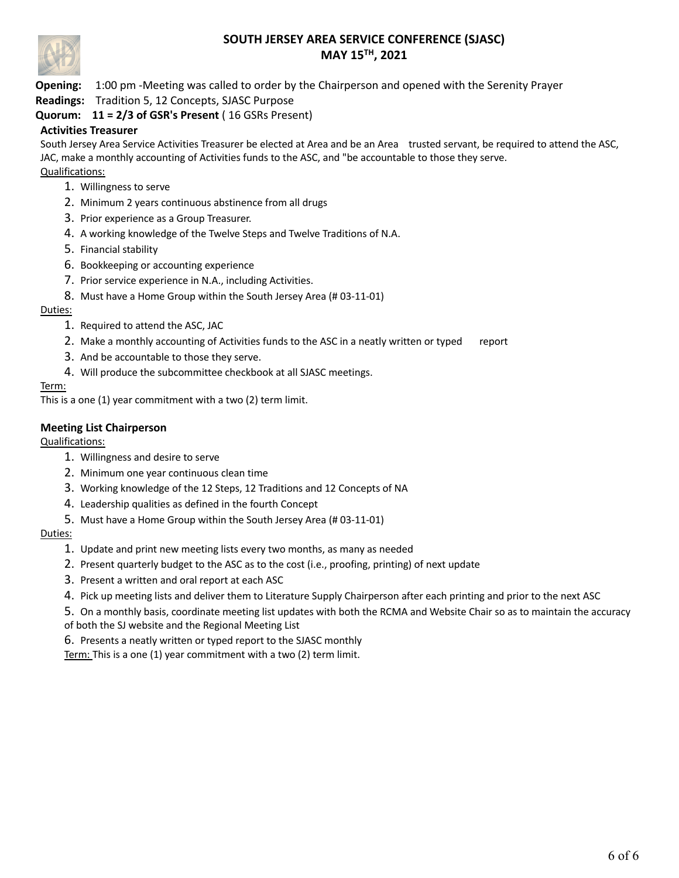

**Opening:** 1:00 pm -Meeting was called to order by the Chairperson and opened with the Serenity Prayer

**Readings:** Tradition 5, 12 Concepts, SJASC Purpose

# **Quorum: 11 = 2/3 of GSR's Present** ( 16 GSRs Present)

### **Activities Treasurer**

South Jersey Area Service Activities Treasurer be elected at Area and be an Area trusted servant, be required to attend the ASC, JAC, make a monthly accounting of Activities funds to the ASC, and "be accountable to those they serve.

Qualifications:

- 1. Willingness to serve
- 2. Minimum 2 years continuous abstinence from all drugs
- 3. Prior experience as a Group Treasurer.
- 4. A working knowledge of the Twelve Steps and Twelve Traditions of N.A.
- 5. Financial stability
- 6. Bookkeeping or accounting experience
- 7. Prior service experience in N.A., including Activities.
- 8. Must have a Home Group within the South Jersey Area (# 03-11-01)

Duties:

- 1. Required to attend the ASC, JAC
- 2. Make a monthly accounting of Activities funds to the ASC in a neatly written or typed report
- 3. And be accountable to those they serve.
- 4. Will produce the subcommittee checkbook at all SJASC meetings.

### Term:

This is a one (1) year commitment with a two (2) term limit.

### **Meeting List Chairperson**

Qualifications:

- 1. Willingness and desire to serve
- 2. Minimum one year continuous clean time
- 3. Working knowledge of the 12 Steps, 12 Traditions and 12 Concepts of NA
- 4. Leadership qualities as defined in the fourth Concept
- 5. Must have a Home Group within the South Jersey Area (# 03-11-01)

### Duties:

- 1. Update and print new meeting lists every two months, as many as needed
- 2. Present quarterly budget to the ASC as to the cost (i.e., proofing, printing) of next update
- 3. Present a written and oral report at each ASC
- 4. Pick up meeting lists and deliver them to Literature Supply Chairperson after each printing and prior to the next ASC

5. On a monthly basis, coordinate meeting list updates with both the RCMA and Website Chair so as to maintain the accuracy of both the SJ website and the Regional Meeting List

6. Presents a neatly written or typed report to the SJASC monthly Term: This is a one (1) year commitment with a two (2) term limit.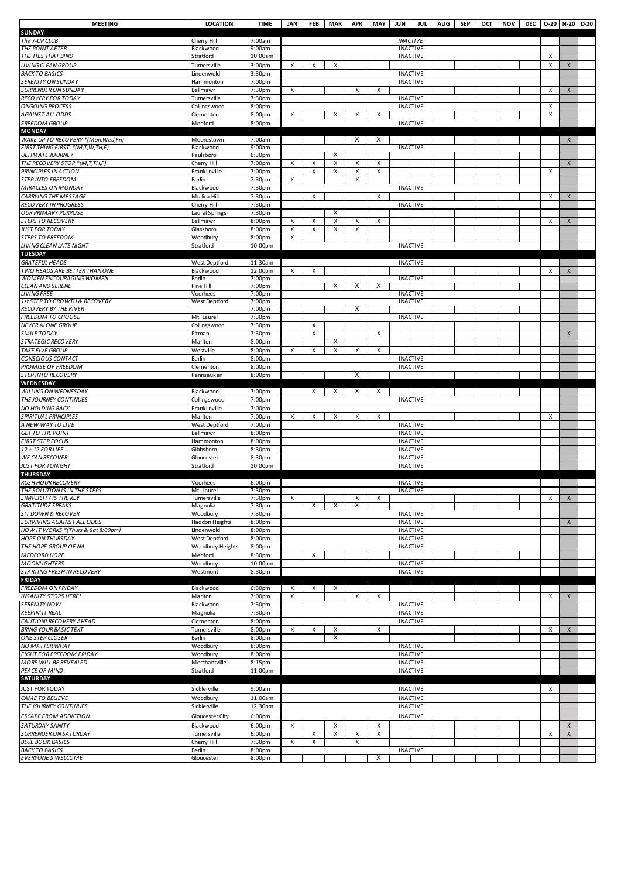| <b>MEETING</b>                                         | <b>LOCATION</b>            | TIME                         | <b>JAN</b> | <b>FEB</b> | MAR APR |                |        | MAY JUN         | JUL                                | AUG SEP |  | OCT NOV | DEC 0-20 N-20  |                    | D-20 |
|--------------------------------------------------------|----------------------------|------------------------------|------------|------------|---------|----------------|--------|-----------------|------------------------------------|---------|--|---------|----------------|--------------------|------|
| <b>SUNDAY</b>                                          |                            |                              |            |            |         |                |        |                 |                                    |         |  |         |                |                    |      |
| The 7-UP CLUB                                          | Cherry Hill                | 7:00am                       |            |            |         |                |        | <b>INACTIVE</b> |                                    |         |  |         |                |                    |      |
| THE POINT AFTER<br>THE TIES THAT BIND                  | Blackwood<br>Stratford     | 9:00am<br>10:00am            |            |            |         |                |        |                 | <b>INACTIVE</b><br><b>INACTIVE</b> |         |  |         | х              |                    |      |
| LIVING CLEAN GROUP                                     | Turnersville               | 3:00 <sub>pm</sub>           | X          | X          | Χ       |                |        |                 |                                    |         |  |         | X              | $\pmb{\mathsf{X}}$ |      |
| <b>BACK TO BASICS</b>                                  | Lindenwold                 | 3:30pm                       |            |            |         |                |        |                 | <b>INACTIVE</b>                    |         |  |         |                |                    |      |
| <b>SERENITY ON SUNDAY</b>                              | Hammonton                  | 7:00pm                       |            |            |         |                |        |                 | <b>INACTIVE</b>                    |         |  |         |                |                    |      |
| <b>SURRENDER ON SUNDAY</b>                             | Bellmawr                   | 7:30pm                       | x          |            |         | Х              | х      |                 |                                    |         |  |         | Х              | X                  |      |
| <b>RECOVERY FOR TODAY</b>                              | Turnersville               | 7:30pm                       |            |            |         |                |        |                 | <b>INACTIVE</b>                    |         |  |         |                |                    |      |
| <b>ONGOING PROCESS</b>                                 | Collingswood               | 8:00pm                       |            |            |         |                |        |                 | <b>INACTIVE</b>                    |         |  |         | х              |                    |      |
| <b>AGAINST ALL ODDS</b>                                | Clementon                  | 8:00pm                       | Χ          |            | x       | X              | х      |                 |                                    |         |  |         | Χ              |                    |      |
| <b>FREEDOM GROUP</b><br><b>MONDAY</b>                  | Medford                    | 8:00pm                       |            |            |         |                |        |                 | <b>INACTIVE</b>                    |         |  |         |                |                    |      |
| WAKE UP TO RECOVERY *(Mon, Wed, Fri)                   | Moorestown                 | 7:00am                       |            |            |         | X              | X      |                 |                                    |         |  |         |                | $\pmb{\times}$     |      |
| FIRST THING FIRST *(M,T,W,TH,F)                        | Blackwood                  | 9:00am                       |            |            |         |                |        |                 | <b>INACTIVE</b>                    |         |  |         |                |                    |      |
| <b>ULTIMATE JOURNEY</b>                                | Paulsboro                  | 6:30pm                       |            |            | х       |                |        |                 |                                    |         |  |         |                |                    |      |
| THE RECOVERY STOP *(M,T,TH,F)                          | Cherry Hill                | 7:00pm                       | Χ          | х          | x       | Х              | Χ      |                 |                                    |         |  |         |                | X                  |      |
| PRINCIPLES IN ACTION                                   | Franklinville              | 7:00pm                       |            | X          | X       | X              | х      |                 |                                    |         |  |         | Х              |                    |      |
| <b>STEP INTO FREEDOM</b>                               | Berlin                     | 7:30pm                       | х          |            |         | X              |        |                 |                                    |         |  |         |                |                    |      |
| MIRACLES ON MONDAY                                     | Blackwood                  | 7:30pm                       |            |            |         |                |        |                 | <b>INACTIVE</b>                    |         |  |         |                |                    |      |
| CARRYING THE MESSAGE                                   | Mullica Hill               | 7:30pm                       |            | Χ          |         |                | х      |                 |                                    |         |  |         | $\pmb{\times}$ | $\pmb{\times}$     |      |
| <b>RECOVERY IN PROGRESS</b>                            | Cherry Hill                | 7:30pm                       |            |            |         |                |        |                 | <b>INACTIVE</b>                    |         |  |         |                |                    |      |
| <b>OUR PRIMARY PURPOSE</b><br><b>STEPS TO RECOVERY</b> | Laurel Springs<br>Bellmawr | 7:30pm<br>8:00pm             | X          | Χ          | х<br>X  | X              | X      |                 |                                    |         |  |         | X              | $\pmb{\times}$     |      |
| <b>JUST FOR TODAY</b>                                  | Glassboro                  | 8:00pm                       | X          | X          | X       | $\pmb{\times}$ |        |                 |                                    |         |  |         |                |                    |      |
| <b>STEPS TO FREEDOM</b>                                | Woodbury                   | 8:00pm                       | х          |            |         |                |        |                 |                                    |         |  |         |                |                    |      |
| <b>LIVING CLEAN LATE NIGHT</b>                         | Stratford                  | 10:00pm                      |            |            |         |                |        |                 | <b>INACTIVE</b>                    |         |  |         |                |                    |      |
| <b>TUESDAY</b>                                         |                            |                              |            |            |         |                |        |                 |                                    |         |  |         |                |                    |      |
| <b>GRATEFUL HEADS</b>                                  | West Deptford              | 11:30am                      |            |            |         |                |        |                 | <b>INACTIVE</b>                    |         |  |         |                |                    |      |
| TWO HEADS ARE BETTER THAN ONE                          | Blackwood                  | 12:00pm                      | х          | Χ          |         |                |        |                 |                                    |         |  |         | X              | $\pmb{\times}$     |      |
| <b>WOMEN ENCOURAGING WOMEN</b>                         | Berlin                     | 7:00pm                       |            |            |         |                |        |                 | <b>INACTIVE</b>                    |         |  |         |                |                    |      |
| <b>CLEAN AND SERENE</b><br><b>LIVING FREE</b>          | Pine Hill<br>Voorhees      | 7:00pm<br>7:00pm             |            |            | х       | Х              | Х      |                 | <b>INACTIVE</b>                    |         |  |         |                |                    |      |
| 1st STEP TO GROWTH & RECOVERY                          | West Deptford              | 7:00pm                       |            |            |         |                |        |                 | <b>INACTIVE</b>                    |         |  |         |                |                    |      |
| <b>RECOVERY BY THE RIVER</b>                           |                            | 7:00pm                       |            |            |         | Х              |        |                 |                                    |         |  |         |                |                    |      |
| <b>FREEDOM TO CHOOSE</b>                               | Mt. Laurel                 | 7:30pm                       |            |            |         |                |        |                 | <b>INACTIVE</b>                    |         |  |         |                |                    |      |
| NEVER ALONE GROUP                                      | Collingswood               | 7:30pm                       |            | Χ          |         |                |        |                 |                                    |         |  |         |                |                    |      |
| <b>SMILE TODAY</b>                                     | Pitman                     | 7:30pm                       |            | Χ          |         |                | X      |                 |                                    |         |  |         |                | $\pmb{\times}$     |      |
| <b>STRATEGIC RECOVERY</b>                              | Marlton                    | 8:00pm                       |            |            | X       |                |        |                 |                                    |         |  |         |                |                    |      |
| <b>TAKE FIVE GROUP</b>                                 | Westville                  | 8:00pm                       | x          | x          | X       | X              | Х      |                 |                                    |         |  |         |                |                    |      |
| <b>CONSCIOUS CONTACT</b><br><b>PROMISE OF FREEDOM</b>  | Berlin<br>Clementon        | 8:00pm<br>8:00pm             |            |            |         |                |        |                 | <b>INACTIVE</b><br><b>INACTIVE</b> |         |  |         |                |                    |      |
| <b>STEP INTO RECOVERY</b>                              | Pennsauken                 | 8:00pm                       |            |            |         | Х              |        |                 |                                    |         |  |         |                |                    |      |
| WEDNESDAY                                              |                            |                              |            |            |         |                |        |                 |                                    |         |  |         |                |                    |      |
| <b>WILLING ON WEDNESDAY</b>                            | Blackwood                  | 7:00pm                       |            | X          | X       | X              | X      |                 |                                    |         |  |         |                |                    |      |
| THE JOURNEY CONTINUES                                  | Collingswood               | 7:00pm                       |            |            |         |                |        |                 | <b>INACTIVE</b>                    |         |  |         |                |                    |      |
| <b>NO HOLDING BACK</b>                                 | Franklinville              | 7:00pm                       |            |            |         |                |        |                 |                                    |         |  |         |                |                    |      |
| SPIRITUAL PRINCIPLES                                   | Marlton                    | 7:00pm                       | х          | х          | х       | х              | х      |                 |                                    |         |  |         | Х              |                    |      |
| A NEW WAY TO LIVE                                      | West Deptford              | 7:00pm                       |            |            |         |                |        |                 | <b>INACTIVE</b>                    |         |  |         |                |                    |      |
| <b>GET TO THE POINT</b><br><b>FIRST STEP FOCUS</b>     | Bellmawr                   | 8:00pm                       |            |            |         |                |        |                 | <b>INACTIVE</b><br><b>INACTIVE</b> |         |  |         |                |                    |      |
| 12 + 12 FOR LIFE                                       | Hammonton<br>Gibbsboro     | 8:00pm<br>8:30pm             |            |            |         |                |        |                 | <b>INACTIVE</b>                    |         |  |         |                |                    |      |
| <b>WE CAN RECOVER</b>                                  | Gloucester                 | 8:30pm                       |            |            |         |                |        |                 | <b>INACTIVE</b>                    |         |  |         |                |                    |      |
| <b>JUST FOR TONIGHT</b>                                | Stratford                  | 10:00pm                      |            |            |         |                |        |                 | <b>INACTIVE</b>                    |         |  |         |                |                    |      |
| <b>THURSDAY</b>                                        |                            |                              |            |            |         |                |        |                 |                                    |         |  |         |                |                    |      |
| RUSH HOUR RECOVERY                                     | Voorhees                   | 6:00pm                       |            |            |         |                |        |                 | <b>INACTIVE</b>                    |         |  |         |                |                    |      |
| THE SOLUTION IS IN THE STEPS                           | Mt. Laurel                 | 7:30pm                       |            |            |         |                |        |                 | <b>INACTIVE</b>                    |         |  |         |                |                    |      |
| SIMPLICITY IS THE KEY<br><b>GRATITUDE SPEAKS</b>       | Turnersville               | 7:30pm<br>7:30pm             | x          | Χ          | Х       | х<br>Χ         | х      |                 |                                    |         |  |         | Х              | X                  |      |
| SIT DOWN & RECOVER                                     | Magnolia<br>Woodbury       | 7:30pm                       |            |            |         |                |        |                 | <b>INACTIVE</b>                    |         |  |         |                |                    |      |
| SURVIVING AGAINST ALL ODDS                             | Haddon Heights             | 8:00pm                       |            |            |         |                |        |                 | <b>INACTIVE</b>                    |         |  |         |                | $\mathsf{X}$       |      |
| HOW IT WORKS *(Thurs & Sat 8:00pm)                     | Lindenwold                 | 8:00pm                       |            |            |         |                |        |                 | <b>INACTIVE</b>                    |         |  |         |                |                    |      |
| <b>HOPE ON THURSDAY</b>                                | West Deptford              | 8:00pm                       |            |            |         |                |        |                 | <b>INACTIVE</b>                    |         |  |         |                |                    |      |
| THE HOPE GROUP OF NA                                   | Woodbury Heights           | 8:00pm                       |            |            |         |                |        |                 | <b>INACTIVE</b>                    |         |  |         |                |                    |      |
| <b>MEDFORD HOPE</b>                                    | Medford                    | 8:30pm                       |            | X          |         |                |        |                 |                                    |         |  |         |                |                    |      |
| <b>MOONLIGHTERS</b>                                    | Woodbury                   | 10:00pm                      |            |            |         |                |        |                 | <b>INACTIVE</b>                    |         |  |         |                |                    |      |
| STARTING FRESH IN RECOVERY<br><b>FRIDAY</b>            | Westmont                   | 8:30pm                       |            |            |         |                |        |                 | <b>INACTIVE</b>                    |         |  |         |                |                    |      |
| <b>FREEDOM ON FRIDAY</b>                               | Blackwood                  | 6:30pm                       | Х          | х          | х       |                |        |                 |                                    |         |  |         |                |                    |      |
| <b>INSANITY STOPS HERE!</b>                            | Marlton                    | 7:00pm                       | X          |            |         | $\pmb{\times}$ | X      |                 |                                    |         |  |         | X              | $\pmb{\times}$     |      |
| <b>SERENITY NOW</b>                                    | Blackwood                  | 7:30pm                       |            |            |         |                |        |                 | <b>INACTIVE</b>                    |         |  |         |                |                    |      |
| <b>KEEPIN' IT REAL</b>                                 | Magnolia                   | 7:30pm                       |            |            |         |                |        |                 | <b>INACTIVE</b>                    |         |  |         |                |                    |      |
| CAUTION! RECOVERY AHEAD                                | Clementon                  | 8:00pm                       |            |            |         |                |        |                 | <b>INACTIVE</b>                    |         |  |         |                |                    |      |
| <b>BRING YOUR BASIC TEXT</b>                           | Turnersville               | 8:00pm                       | х          | Х          | X       |                | X      |                 |                                    |         |  |         | Х              | X                  |      |
| <b>ONE STEP CLOSER</b>                                 | Berlin                     | 8:00pm                       |            |            | х       |                |        |                 |                                    |         |  |         |                |                    |      |
| NO MATTER WHAT                                         | Woodbury                   | 8:00pm                       |            |            |         |                |        |                 | <b>INACTIVE</b>                    |         |  |         |                |                    |      |
| <b>FIGHT FOR FREEDOM FRIDAY</b>                        | Woodbury                   | 8:00pm                       |            |            |         |                |        |                 | <b>INACTIVE</b>                    |         |  |         |                |                    |      |
| MORE WILL BE REVEALED                                  | Merchantville              | 8:15pm                       |            |            |         |                |        |                 | <b>INACTIVE</b>                    |         |  |         |                |                    |      |
| PEACE OF MIND<br>SATURDAY                              | Stratford                  | 11:00pm                      |            |            |         |                |        |                 | <b>INACTIVE</b>                    |         |  |         |                |                    |      |
|                                                        |                            |                              |            |            |         |                |        |                 |                                    |         |  |         |                |                    |      |
| <b>JUST FOR TODAY</b>                                  | Sicklerville               | 9:00am                       |            |            |         |                |        | <b>INACTIVE</b> |                                    |         |  |         | Х              |                    |      |
| CAME TO BELIEVE                                        | Woodbury                   | 11:00am                      |            |            |         |                |        |                 | <b>INACTIVE</b>                    |         |  |         |                |                    |      |
| THE JOURNEY CONTINUES                                  | Sicklerville               | 12:30pm                      |            |            |         |                |        |                 | <b>INACTIVE</b>                    |         |  |         |                |                    |      |
| <b>ESCAPE FROM ADDICTION</b>                           | Gloucester City            | 6:00 <sub>pm</sub>           |            |            |         |                |        |                 | <b>INACTIVE</b>                    |         |  |         |                |                    |      |
| <b>SATURDAY SANITY</b><br><b>SURRENDER ON SATURDAY</b> | Blackwood<br>Turnersville  | 6:00 <sub>pm</sub><br>6:00pm | X          | Χ          | X<br>X  | X              | х<br>X |                 |                                    |         |  |         | X              | X<br>X             |      |
| <b>BLUE BOOK BASICS</b>                                | Cherry Hill                | 7:30pm                       | Χ          | х          |         | Х              |        |                 |                                    |         |  |         |                |                    |      |
| <b>BACK TO BASICS</b>                                  | Berlin                     | 8:00pm                       |            |            |         |                |        |                 | <b>INACTIVE</b>                    |         |  |         |                |                    |      |
| <b>EVERYONE'S WELCOME</b>                              | Gloucester                 | 8:00pm                       |            |            |         |                | Х      |                 |                                    |         |  |         |                |                    |      |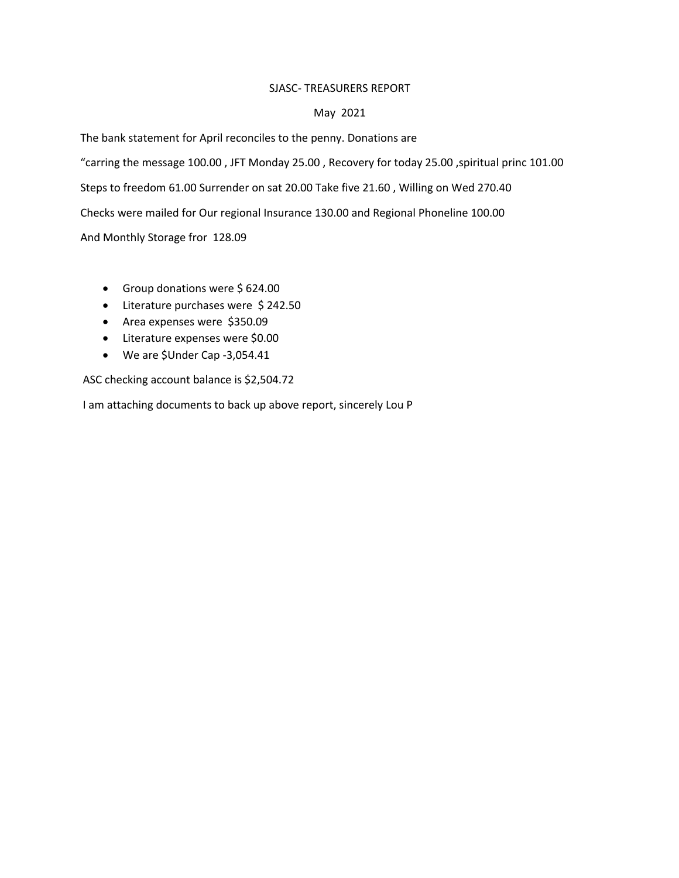#### SJASC- TREASURERS REPORT

#### May 2021

The bank statement for April reconciles to the penny. Donations are "carring the message 100.00 , JFT Monday 25.00 , Recovery for today 25.00 ,spiritual princ 101.00 Steps to freedom 61.00 Surrender on sat 20.00 Take five 21.60 , Willing on Wed 270.40 Checks were mailed for Our regional Insurance 130.00 and Regional Phoneline 100.00 And Monthly Storage fror 128.09

- Group donations were \$624.00
- Literature purchases were \$242.50
- Area expenses were \$350.09
- Literature expenses were \$0.00
- We are \$Under Cap -3,054.41

ASC checking account balance is \$2,504.72

I am attaching documents to back up above report, sincerely Lou P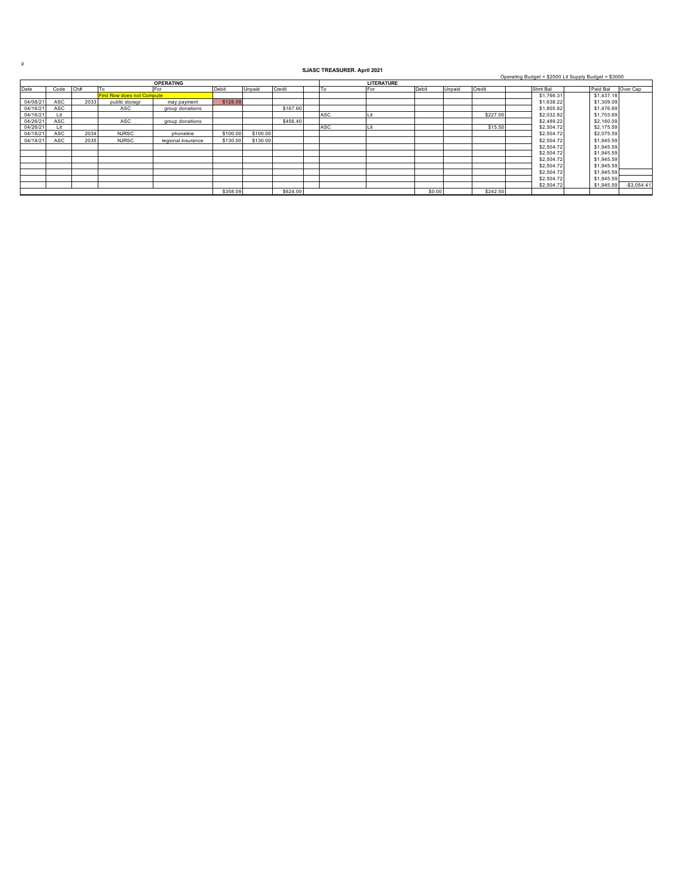p

#### **SJASC TREASURER. April 2021**

Operating Budget = \$2000 Lit Supply Budget = \$3000

| <b>OPERATING</b> |      |      |                                   |                    |          |          |          |  |     | <b>LITERATURE</b> |        |        |          |  |            |  |            |              |  |  |
|------------------|------|------|-----------------------------------|--------------------|----------|----------|----------|--|-----|-------------------|--------|--------|----------|--|------------|--|------------|--------------|--|--|
| Date             | Code | Ch#  | I To                              | For                | Debit    | Unpaid   | Credit   |  | To  | <b>IFor</b>       | Debit  | Unpaid | Credit   |  | Stmt Bal   |  | Paid Bal   | Over Cap     |  |  |
|                  |      |      | <b>First Row does not Compute</b> |                    |          |          |          |  |     |                   |        |        |          |  | \$1,766.31 |  | \$1,437.18 |              |  |  |
| 04/08/21         | ASC  | 2033 | public storagr                    | may payment        | \$128.09 |          |          |  |     |                   |        |        |          |  | \$1,638.22 |  | \$1,309.09 |              |  |  |
| 04/16/21         | ASC  |      | ASC                               | group donations    |          |          | \$167.60 |  |     |                   |        |        |          |  | \$1,805.82 |  | \$1,476.69 |              |  |  |
| 04/16/21         | I it |      |                                   |                    |          |          |          |  | ASC |                   |        |        | \$227.00 |  | \$2,032.82 |  | \$1,703.69 |              |  |  |
| 04/26/21         | ASC  |      | ASC                               | group donations    |          |          | \$456.40 |  |     |                   |        |        |          |  | \$2,489.22 |  | \$2,160.09 |              |  |  |
| 04/26/21         | Lit  |      |                                   |                    |          |          |          |  | ASC |                   |        |        | \$15.50  |  | \$2,504.72 |  | \$2,175.59 |              |  |  |
| 04/18/21         | ASC  | 2034 | <b>NJRSC</b>                      | phoneline          | \$100.00 | \$100.00 |          |  |     |                   |        |        |          |  | \$2,504.72 |  | \$2,075.59 |              |  |  |
| 04/18/21         | ASC  | 2035 | <b>NJRSC</b>                      | regional insurance | \$130.00 | \$130.00 |          |  |     |                   |        |        |          |  | \$2,504.72 |  | \$1,945.59 |              |  |  |
|                  |      |      |                                   |                    |          |          |          |  |     |                   |        |        |          |  | \$2,504.72 |  | \$1,945.59 |              |  |  |
|                  |      |      |                                   |                    |          |          |          |  |     |                   |        |        |          |  | \$2,504.72 |  | \$1,945.59 |              |  |  |
|                  |      |      |                                   |                    |          |          |          |  |     |                   |        |        |          |  | \$2,504.72 |  | \$1,945.59 |              |  |  |
|                  |      |      |                                   |                    |          |          |          |  |     |                   |        |        |          |  | \$2,504.72 |  | \$1,945.59 |              |  |  |
|                  |      |      |                                   |                    |          |          |          |  |     |                   |        |        |          |  | \$2,504.72 |  | \$1.945.59 |              |  |  |
|                  |      |      |                                   |                    |          |          |          |  |     |                   |        |        |          |  | \$2,504.72 |  | \$1,945.59 |              |  |  |
|                  |      |      |                                   |                    |          |          |          |  |     |                   |        |        |          |  | \$2,504.72 |  | \$1,945.59 | $-$3,054.41$ |  |  |
|                  |      |      |                                   |                    | \$358.09 |          | \$624.00 |  |     |                   | \$0.00 |        | \$242.50 |  |            |  |            |              |  |  |